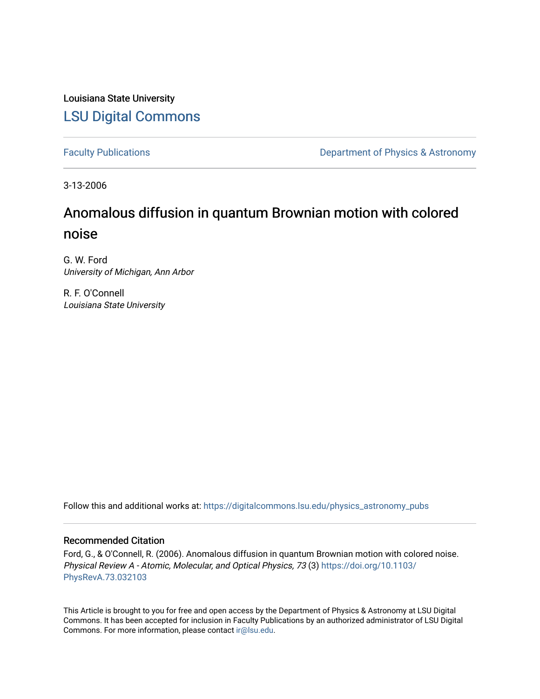Louisiana State University [LSU Digital Commons](https://digitalcommons.lsu.edu/)

[Faculty Publications](https://digitalcommons.lsu.edu/physics_astronomy_pubs) **Exercise 2** Constant Department of Physics & Astronomy

3-13-2006

# Anomalous diffusion in quantum Brownian motion with colored noise

G. W. Ford University of Michigan, Ann Arbor

R. F. O'Connell Louisiana State University

Follow this and additional works at: [https://digitalcommons.lsu.edu/physics\\_astronomy\\_pubs](https://digitalcommons.lsu.edu/physics_astronomy_pubs?utm_source=digitalcommons.lsu.edu%2Fphysics_astronomy_pubs%2F3883&utm_medium=PDF&utm_campaign=PDFCoverPages) 

# Recommended Citation

Ford, G., & O'Connell, R. (2006). Anomalous diffusion in quantum Brownian motion with colored noise. Physical Review A - Atomic, Molecular, and Optical Physics, 73 (3) [https://doi.org/10.1103/](https://doi.org/10.1103/PhysRevA.73.032103) [PhysRevA.73.032103](https://doi.org/10.1103/PhysRevA.73.032103) 

This Article is brought to you for free and open access by the Department of Physics & Astronomy at LSU Digital Commons. It has been accepted for inclusion in Faculty Publications by an authorized administrator of LSU Digital Commons. For more information, please contact [ir@lsu.edu](mailto:ir@lsu.edu).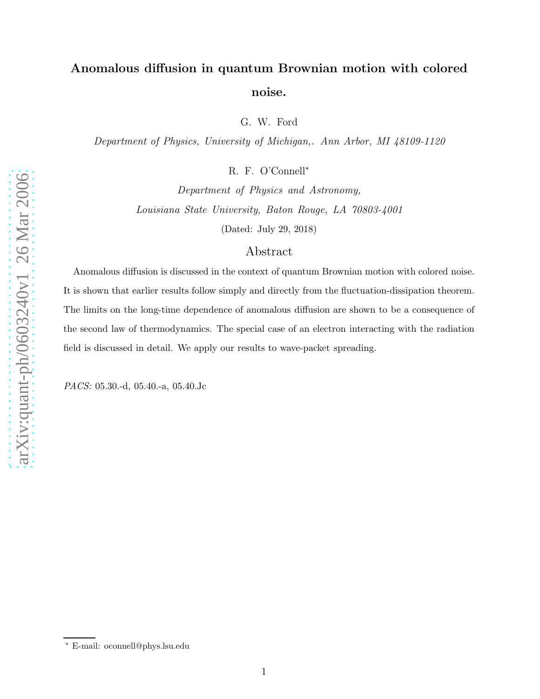# arXiv:quant-ph/0603240v1 26 Mar 2006 [arXiv:quant-ph/0603240v1 26 Mar 2006](http://arxiv.org/abs/quant-ph/0603240v1)

# Anomalous diffusion in quantum Brownian motion with colored noise.

G. W. Ford

Department of Physics, University of Michigan,. Ann Arbor, MI 48109-1120

R. F. O'Connell<sup>\*</sup>

Department of Physics and Astronomy, Louisiana State University, Baton Rouge, LA 70803-4001 (Dated: July 29, 2018)

# Abstract

Anomalous diffusion is discussed in the context of quantum Brownian motion with colored noise. It is shown that earlier results follow simply and directly from the fluctuation-dissipation theorem. The limits on the long-time dependence of anomalous diffusion are shown to be a consequence of the second law of thermodynamics. The special case of an electron interacting with the radiation field is discussed in detail. We apply our results to wave-packet spreading.

PACS: 05.30.-d, 05.40.-a, 05.40.Jc

<sup>∗</sup> E-mail: oconnell@phys.lsu.edu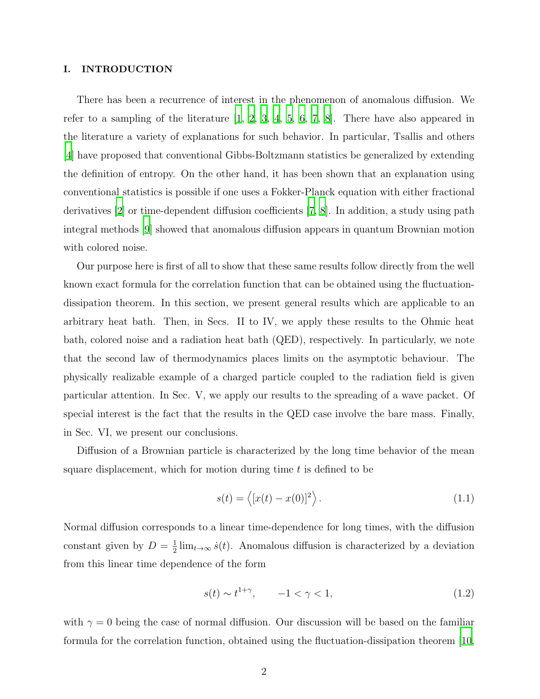### I. INTRODUCTION

There has been a recurrence of interest in the phenomenon of anomalous diffusion. We refer to a sampling of the literature [\[1](#page-12-0), [2](#page-12-1), [3,](#page-12-2) [4](#page-12-3), [5,](#page-13-0) [6,](#page-13-1) [7](#page-13-2), [8\]](#page-13-3). There have also appeared in the literature a variety of explanations for such behavior. In particular, Tsallis and others [\[4](#page-12-3)] have proposed that conventional Gibbs-Boltzmann statistics be generalized by extending the definition of entropy. On the other hand, it has been shown that an explanation using conventional statistics is possible if one uses a Fokker-Planck equation with either fractional derivatives [\[2\]](#page-12-1) or time-dependent diffusion coefficients [\[7,](#page-13-2) [8](#page-13-3)]. In addition, a study using path integral methods [\[9\]](#page-13-4) showed that anomalous diffusion appears in quantum Brownian motion with colored noise.

Our purpose here is first of all to show that these same results follow directly from the well known exact formula for the correlation function that can be obtained using the fluctuationdissipation theorem. In this section, we present general results which are applicable to an arbitrary heat bath. Then, in Secs. II to IV, we apply these results to the Ohmic heat bath, colored noise and a radiation heat bath (QED), respectively. In particularly, we note that the second law of thermodynamics places limits on the asymptotic behaviour. The physically realizable example of a charged particle coupled to the radiation field is given particular attention. In Sec. V, we apply our results to the spreading of a wave packet. Of special interest is the fact that the results in the QED case involve the bare mass. Finally, in Sec. VI, we present our conclusions.

Diffusion of a Brownian particle is characterized by the long time behavior of the mean square displacement, which for motion during time  $t$  is defined to be

<span id="page-2-0"></span>
$$
s(t) = \langle [x(t) - x(0)]^2 \rangle.
$$
\n(1.1)

Normal diffusion corresponds to a linear time-dependence for long times, with the diffusion constant given by  $D=\frac{1}{2}$  $\frac{1}{2}$  lim<sub>t→∞</sub>  $\dot{s}(t)$ . Anomalous diffusion is characterized by a deviation from this linear time dependence of the form

$$
s(t) \sim t^{1+\gamma}, \qquad -1 < \gamma < 1,\tag{1.2}
$$

with  $\gamma = 0$  being the case of normal diffusion. Our discussion will be based on the familiar formula for the correlation function, obtained using the fluctuation-dissipation theorem [\[10,](#page-13-5)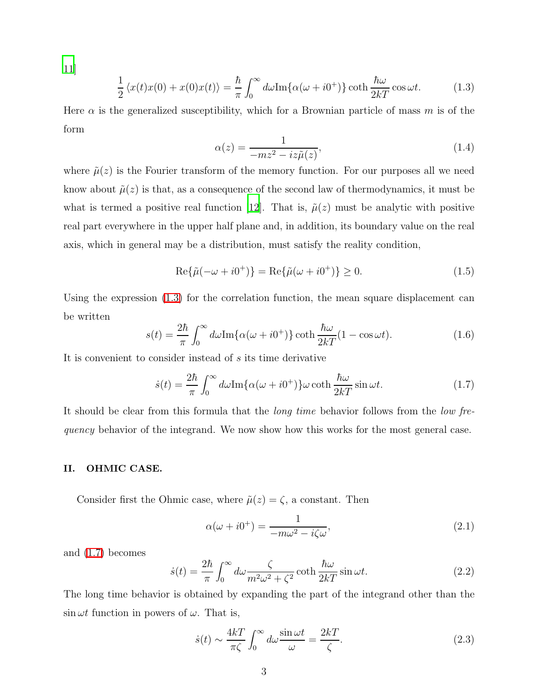<span id="page-3-0"></span>[11\]](#page-13-6)

<span id="page-3-4"></span>
$$
\frac{1}{2} \langle x(t)x(0) + x(0)x(t) \rangle = \frac{\hbar}{\pi} \int_0^\infty d\omega \text{Im}\{\alpha(\omega + i0^+)\} \coth \frac{\hbar \omega}{2kT} \cos \omega t.
$$
 (1.3)

Here  $\alpha$  is the generalized susceptibility, which for a Brownian particle of mass m is of the form

$$
\alpha(z) = \frac{1}{-mz^2 - iz\tilde{\mu}(z)},\tag{1.4}
$$

where  $\tilde{\mu}(z)$  is the Fourier transform of the memory function. For our purposes all we need know about  $\tilde{\mu}(z)$  is that, as a consequence of the second law of thermodynamics, it must be what is termed a positive real function [\[12\]](#page-13-7). That is,  $\tilde{\mu}(z)$  must be analytic with positive real part everywhere in the upper half plane and, in addition, its boundary value on the real axis, which in general may be a distribution, must satisfy the reality condition,

$$
Re{\tilde{\mu}(-\omega+i0^+) } = Re{\tilde{\mu}(\omega+i0^+ ) } \ge 0.
$$
 (1.5)

Using the expression [\(1.3\)](#page-3-0) for the correlation function, the mean square displacement can be written

$$
s(t) = \frac{2\hbar}{\pi} \int_0^\infty d\omega \text{Im}\{\alpha(\omega + i0^+)\} \coth \frac{\hbar \omega}{2kT} (1 - \cos \omega t). \tag{1.6}
$$

<span id="page-3-1"></span>It is convenient to consider instead of s its time derivative

$$
\dot{s}(t) = \frac{2\hbar}{\pi} \int_0^\infty d\omega \text{Im}\{\alpha(\omega + i0^+)\}\omega \coth\frac{\hbar\omega}{2kT} \sin\omega t.
$$
 (1.7)

It should be clear from this formula that the *long time* behavior follows from the *low fre*quency behavior of the integrand. We now show how this works for the most general case.

### II. OHMIC CASE.

Consider first the Ohmic case, where  $\tilde{\mu}(z) = \zeta$ , a constant. Then

$$
\alpha(\omega + i0^{+}) = \frac{1}{-m\omega^{2} - i\zeta\omega},\tag{2.1}
$$

<span id="page-3-2"></span>and [\(1.7\)](#page-3-1) becomes

<span id="page-3-3"></span>
$$
\dot{s}(t) = \frac{2\hbar}{\pi} \int_0^\infty d\omega \frac{\zeta}{m^2 \omega^2 + \zeta^2} \coth \frac{\hbar \omega}{2kT} \sin \omega t.
$$
 (2.2)

The long time behavior is obtained by expanding the part of the integrand other than the  $\sin \omega t$  function in powers of  $\omega$ . That is,

$$
\dot{s}(t) \sim \frac{4k}{\pi \zeta} \int_0^\infty d\omega \frac{\sin \omega t}{\omega} = \frac{2k}{\zeta}.
$$
\n(2.3)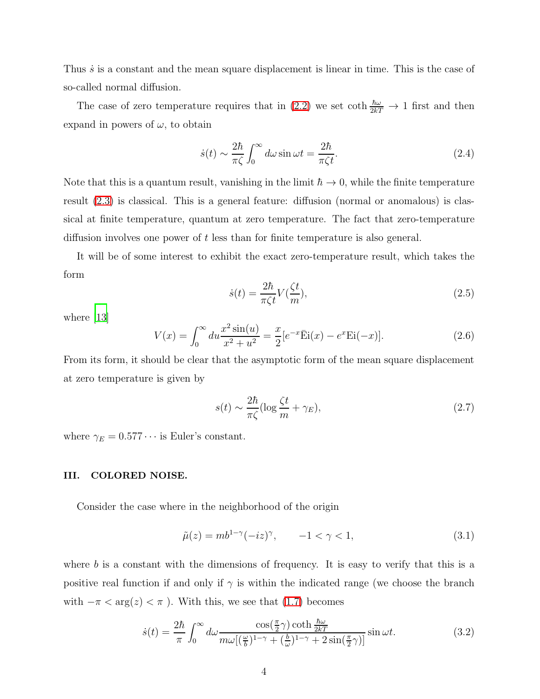Thus  $\dot{s}$  is a constant and the mean square displacement is linear in time. This is the case of so-called normal diffusion.

The case of zero temperature requires that in [\(2.2\)](#page-3-2) we set coth  $\frac{\hbar\omega}{2kT} \to 1$  first and then expand in powers of  $\omega$ , to obtain

$$
\dot{s}(t) \sim \frac{2\hbar}{\pi\zeta} \int_0^\infty d\omega \sin \omega t = \frac{2\hbar}{\pi\zeta t}.
$$
\n(2.4)

Note that this is a quantum result, vanishing in the limit  $\hbar \to 0$ , while the finite temperature result [\(2.3\)](#page-3-3) is classical. This is a general feature: diffusion (normal or anomalous) is classical at finite temperature, quantum at zero temperature. The fact that zero-temperature diffusion involves one power of t less than for finite temperature is also general.

It will be of some interest to exhibit the exact zero-temperature result, which takes the form

$$
\dot{s}(t) = \frac{2\hbar}{\pi\zeta t} V(\frac{\zeta t}{m}),\tag{2.5}
$$

<span id="page-4-3"></span>where [\[13\]](#page-13-8)

<span id="page-4-2"></span>
$$
V(x) = \int_0^\infty du \frac{x^2 \sin(u)}{x^2 + u^2} = \frac{x}{2} [e^{-x} \bar{E}i(x) - e^x Ei(-x)].
$$
 (2.6)

From its form, it should be clear that the asymptotic form of the mean square displacement at zero temperature is given by

$$
s(t) \sim \frac{2\hbar}{\pi\zeta} (\log \frac{\zeta t}{m} + \gamma_E),\tag{2.7}
$$

where  $\gamma_E = 0.577 \cdots$  is Euler's constant.

## III. COLORED NOISE.

<span id="page-4-1"></span>Consider the case where in the neighborhood of the origin

$$
\tilde{\mu}(z) = mb^{1-\gamma}(-iz)^{\gamma}, \qquad -1 < \gamma < 1,
$$
\n(3.1)

<span id="page-4-0"></span>where  $b$  is a constant with the dimensions of frequency. It is easy to verify that this is a positive real function if and only if  $\gamma$  is within the indicated range (we choose the branch with  $-\pi < \arg(z) < \pi$ ). With this, we see that [\(1.7\)](#page-3-1) becomes

$$
\dot{s}(t) = \frac{2\hbar}{\pi} \int_0^\infty d\omega \frac{\cos(\frac{\pi}{2}\gamma) \coth\frac{\hbar\omega}{2kT}}{m\omega[(\frac{\omega}{b})^{1-\gamma} + (\frac{b}{\omega})^{1-\gamma} + 2\sin(\frac{\pi}{2}\gamma)]} \sin \omega t.
$$
 (3.2)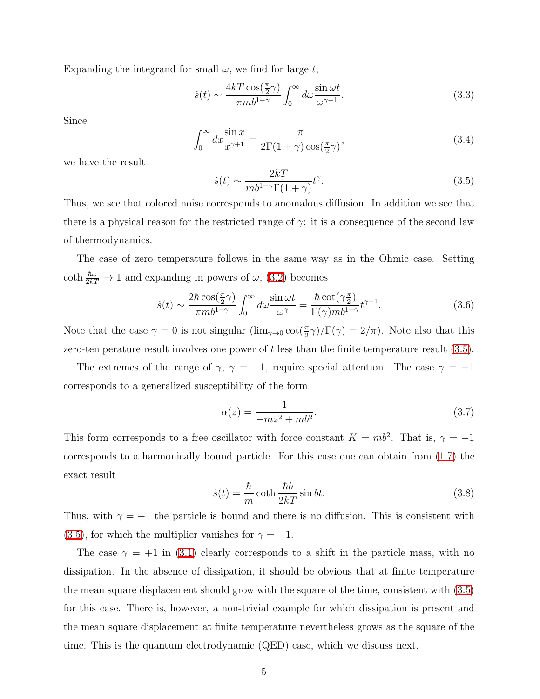Expanding the integrand for small  $\omega$ , we find for large t,

$$
\dot{s}(t) \sim \frac{4kT \cos(\frac{\pi}{2}\gamma)}{\pi m b^{1-\gamma}} \int_0^\infty d\omega \frac{\sin \omega t}{\omega^{\gamma+1}}.
$$
\n(3.3)

Since

<span id="page-5-0"></span>
$$
\int_0^\infty dx \frac{\sin x}{x^{\gamma+1}} = \frac{\pi}{2\Gamma(1+\gamma)\cos(\frac{\pi}{2}\gamma)},\tag{3.4}
$$

we have the result

$$
\dot{s}(t) \sim \frac{2kT}{mb^{1-\gamma}\Gamma(1+\gamma)}t^{\gamma}.\tag{3.5}
$$

Thus, we see that colored noise corresponds to anomalous diffusion. In addition we see that there is a physical reason for the restricted range of  $\gamma$ : it is a consequence of the second law of thermodynamics.

<span id="page-5-1"></span>The case of zero temperature follows in the same way as in the Ohmic case. Setting coth  $\frac{\hbar\omega}{2kT} \to 1$  and expanding in powers of  $\omega$ , [\(3.2\)](#page-4-0) becomes

$$
\dot{s}(t) \sim \frac{2\hbar \cos(\frac{\pi}{2}\gamma)}{\pi m b^{1-\gamma}} \int_0^\infty d\omega \frac{\sin \omega t}{\omega^\gamma} = \frac{\hbar \cot(\gamma \frac{\pi}{2})}{\Gamma(\gamma) m b^{1-\gamma}} t^{\gamma-1}.
$$
\n(3.6)

Note that the case  $\gamma = 0$  is not singular  $(\lim_{\gamma \to 0} \cot(\frac{\pi}{2}\gamma)/\Gamma(\gamma) = 2/\pi)$ . Note also that this zero-temperature result involves one power of  $t$  less than the finite temperature result  $(3.5)$ .

The extremes of the range of  $\gamma$ ,  $\gamma = \pm 1$ , require special attention. The case  $\gamma = -1$ corresponds to a generalized susceptibility of the form

$$
\alpha(z) = \frac{1}{-mz^2 + mb^2}.\tag{3.7}
$$

This form corresponds to a free oscillator with force constant  $K = mb^2$ . That is,  $\gamma = -1$ corresponds to a harmonically bound particle. For this case one can obtain from [\(1.7\)](#page-3-1) the exact result

$$
\dot{s}(t) = \frac{\hbar}{m} \coth \frac{\hbar b}{2kT} \sin bt. \tag{3.8}
$$

Thus, with  $\gamma = -1$  the particle is bound and there is no diffusion. This is consistent with [\(3.5\)](#page-5-0), for which the multiplier vanishes for  $\gamma = -1$ .

The case  $\gamma = +1$  in [\(3.1\)](#page-4-1) clearly corresponds to a shift in the particle mass, with no dissipation. In the absence of dissipation, it should be obvious that at finite temperature the mean square displacement should grow with the square of the time, consistent with [\(3.5\)](#page-5-0) for this case. There is, however, a non-trivial example for which dissipation is present and the mean square displacement at finite temperature nevertheless grows as the square of the time. This is the quantum electrodynamic (QED) case, which we discuss next.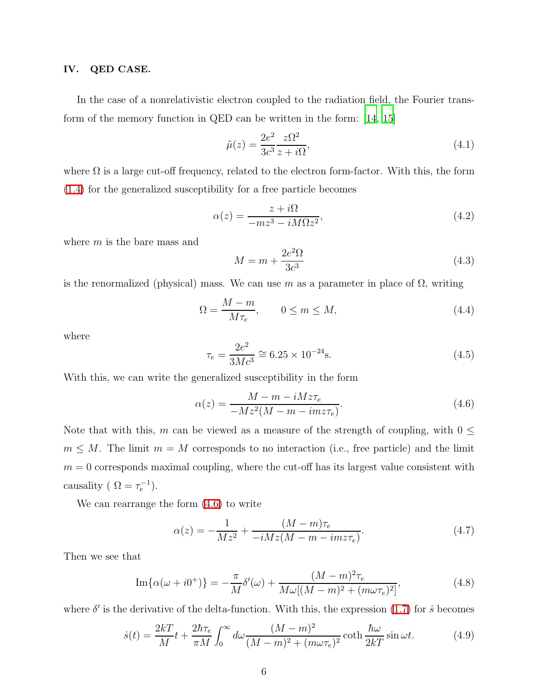### IV. QED CASE.

In the case of a nonrelativistic electron coupled to the radiation field, the Fourier transform of the memory function in QED can be written in the form: [\[14](#page-13-9), [15\]](#page-13-10)

$$
\tilde{\mu}(z) = \frac{2e^2}{3c^3} \frac{z\Omega^2}{z + i\Omega},\tag{4.1}
$$

where  $\Omega$  is a large cut-off frequency, related to the electron form-factor. With this, the form [\(1.4\)](#page-3-4) for the generalized susceptibility for a free particle becomes

$$
\alpha(z) = \frac{z + i\Omega}{-mz^3 - iM\Omega z^2},\tag{4.2}
$$

where  $m$  is the bare mass and

$$
M = m + \frac{2e^2\Omega}{3c^3} \tag{4.3}
$$

is the renormalized (physical) mass. We can use m as a parameter in place of  $\Omega$ , writing

$$
\Omega = \frac{M - m}{M \tau_e}, \qquad 0 \le m \le M,\tag{4.4}
$$

where

$$
\tau_e = \frac{2e^2}{3Mc^3} \approx 6.25 \times 10^{-24} \text{s.}
$$
\n(4.5)

With this, we can write the generalized susceptibility in the form

<span id="page-6-0"></span>
$$
\alpha(z) = \frac{M - m - iMz\tau_e}{-Mz^2(M - m - imz\tau_e)}.\tag{4.6}
$$

Note that with this, m can be viewed as a measure of the strength of coupling, with  $0 \leq$  $m \leq M$ . The limit  $m = M$  corresponds to no interaction (i.e., free particle) and the limit  $m = 0$  corresponds maximal coupling, where the cut-off has its largest value consistent with causality ( $\Omega = \tau_e^{-1}$ ).

We can rearrange the form [\(4.6\)](#page-6-0) to write

$$
\alpha(z) = -\frac{1}{Mz^2} + \frac{(M-m)\tau_e}{-iMz(M-m-imz\tau_e)}.
$$
\n(4.7)

<span id="page-6-2"></span>Then we see that

Im
$$
\{\alpha(\omega + i0^{+})\}
$$
 =  $-\frac{\pi}{M}\delta'(\omega) + \frac{(M-m)^{2}\tau_{e}}{M\omega[(M-m)^{2} + (m\omega\tau_{e})^{2}]}$ , (4.8)

<span id="page-6-1"></span>where  $\delta'$  is the derivative of the delta-function. With this, the expression [\(1.7\)](#page-3-1) for  $\dot{s}$  becomes

$$
\dot{s}(t) = \frac{2kT}{M}t + \frac{2\hbar\tau_e}{\pi M} \int_0^\infty d\omega \frac{(M-m)^2}{(M-m)^2 + (m\omega\tau_e)^2} \coth\frac{\hbar\omega}{2kT}\sin\omega t.
$$
 (4.9)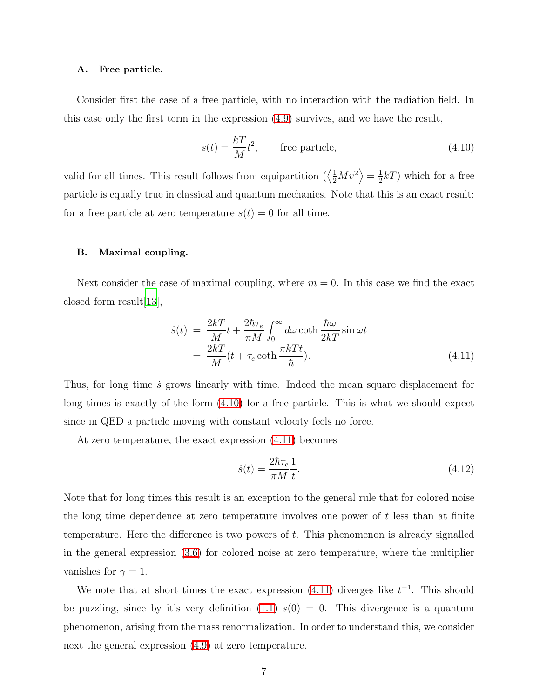### A. Free particle.

Consider first the case of a free particle, with no interaction with the radiation field. In this case only the first term in the expression [\(4.9\)](#page-6-1) survives, and we have the result,

<span id="page-7-0"></span>
$$
s(t) = \frac{kT}{M}t^2, \qquad \text{free particle}, \tag{4.10}
$$

valid for all times. This result follows from equipartition  $\left\langle \frac{1}{2}Mv^2 \right\rangle = \frac{1}{2}$  $\frac{1}{2}kT$ ) which for a free particle is equally true in classical and quantum mechanics. Note that this is an exact result: for a free particle at zero temperature  $s(t) = 0$  for all time.

### B. Maximal coupling.

<span id="page-7-1"></span>Next consider the case of maximal coupling, where  $m = 0$ . In this case we find the exact closed form result[\[13\]](#page-13-8),

$$
\dot{s}(t) = \frac{2kT}{M}t + \frac{2\hbar\tau_e}{\pi M} \int_0^\infty d\omega \coth \frac{\hbar\omega}{2kT} \sin \omega t \n= \frac{2kT}{M}(t + \tau_e \coth \frac{\pi kTt}{\hbar}).
$$
\n(4.11)

Thus, for long time  $\dot{s}$  grows linearly with time. Indeed the mean square displacement for long times is exactly of the form [\(4.10\)](#page-7-0) for a free particle. This is what we should expect since in QED a particle moving with constant velocity feels no force.

At zero temperature, the exact expression [\(4.11\)](#page-7-1) becomes

<span id="page-7-2"></span>
$$
\dot{s}(t) = \frac{2\hbar\tau_e}{\pi M} \frac{1}{t}.\tag{4.12}
$$

Note that for long times this result is an exception to the general rule that for colored noise the long time dependence at zero temperature involves one power of  $t$  less than at finite temperature. Here the difference is two powers of  $t$ . This phenomenon is already signalled in the general expression [\(3.6\)](#page-5-1) for colored noise at zero temperature, where the multiplier vanishes for  $\gamma = 1$ .

We note that at short times the exact expression  $(4.11)$  diverges like  $t^{-1}$ . This should be puzzling, since by it's very definition  $(1.1)$   $s(0) = 0$ . This divergence is a quantum phenomenon, arising from the mass renormalization. In order to understand this, we consider next the general expression [\(4.9\)](#page-6-1) at zero temperature.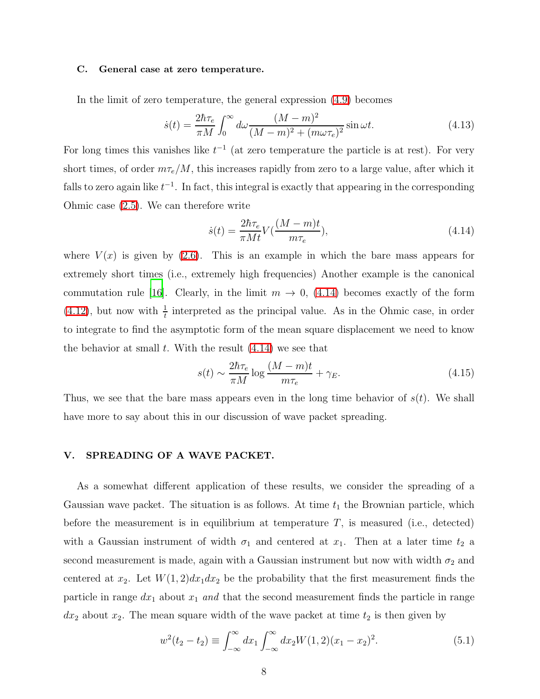### C. General case at zero temperature.

In the limit of zero temperature, the general expression [\(4.9\)](#page-6-1) becomes

$$
\dot{s}(t) = \frac{2\hbar\tau_e}{\pi M} \int_0^\infty d\omega \frac{(M-m)^2}{(M-m)^2 + (m\omega\tau_e)^2} \sin \omega t.
$$
\n(4.13)

For long times this vanishes like  $t^{-1}$  (at zero temperature the particle is at rest). For very short times, of order  $m\tau_e/M$ , this increases rapidly from zero to a large value, after which it falls to zero again like  $t^{-1}$ . In fact, this integral is exactly that appearing in the corresponding Ohmic case [\(2.5\)](#page-4-2). We can therefore write

<span id="page-8-0"></span>
$$
\dot{s}(t) = \frac{2\hbar\tau_e}{\pi Mt} V(\frac{(M-m)t}{m\tau_e}),\tag{4.14}
$$

where  $V(x)$  is given by [\(2.6\)](#page-4-3). This is an example in which the bare mass appears for extremely short times (i.e., extremely high frequencies) Another example is the canonical commutation rule [\[16\]](#page-13-11). Clearly, in the limit  $m \to 0$ , [\(4.14\)](#page-8-0) becomes exactly of the form [\(4.12\)](#page-7-2), but now with  $\frac{1}{t}$  interpreted as the principal value. As in the Ohmic case, in order to integrate to find the asymptotic form of the mean square displacement we need to know the behavior at small  $t$ . With the result  $(4.14)$  we see that

<span id="page-8-2"></span>
$$
s(t) \sim \frac{2\hbar\tau_e}{\pi M} \log \frac{(M-m)t}{m\tau_e} + \gamma_E.
$$
\n(4.15)

Thus, we see that the bare mass appears even in the long time behavior of  $s(t)$ . We shall have more to say about this in our discussion of wave packet spreading.

### V. SPREADING OF A WAVE PACKET.

As a somewhat different application of these results, we consider the spreading of a Gaussian wave packet. The situation is as follows. At time  $t_1$  the Brownian particle, which before the measurement is in equilibrium at temperature  $T$ , is measured (i.e., detected) with a Gaussian instrument of width  $\sigma_1$  and centered at  $x_1$ . Then at a later time  $t_2$  a second measurement is made, again with a Gaussian instrument but now with width  $\sigma_2$  and centered at  $x_2$ . Let  $W(1, 2)dx_1dx_2$  be the probability that the first measurement finds the particle in range  $dx_1$  about  $x_1$  and that the second measurement finds the particle in range  $dx_2$  about  $x_2$ . The mean square width of the wave packet at time  $t_2$  is then given by

<span id="page-8-1"></span>
$$
w^{2}(t_{2}-t_{2}) \equiv \int_{-\infty}^{\infty} dx_{1} \int_{-\infty}^{\infty} dx_{2} W(1, 2)(x_{1}-x_{2})^{2}.
$$
 (5.1)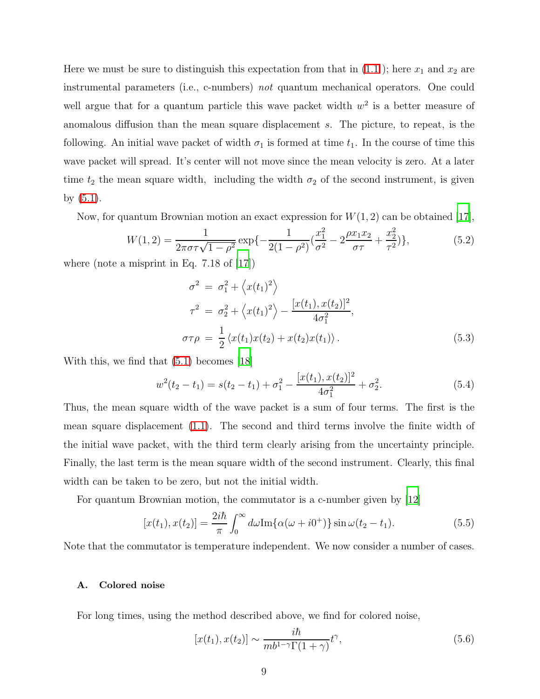Here we must be sure to distinguish this expectation from that in  $(1.1)$ ; here  $x_1$  and  $x_2$  are instrumental parameters (i.e., c-numbers) not quantum mechanical operators. One could well argue that for a quantum particle this wave packet width  $w^2$  is a better measure of anomalous diffusion than the mean square displacement s. The picture, to repeat, is the following. An initial wave packet of width  $\sigma_1$  is formed at time  $t_1$ . In the course of time this wave packet will spread. It's center will not move since the mean velocity is zero. At a later time  $t_2$  the mean square width, including the width  $\sigma_2$  of the second instrument, is given by [\(5.1\)](#page-8-1).

Now, for quantum Brownian motion an exact expression for  $W(1, 2)$  can be obtained [\[17\]](#page-13-12),

$$
W(1,2) = \frac{1}{2\pi\sigma\tau\sqrt{1-\rho^2}} \exp\{-\frac{1}{2(1-\rho^2)}(\frac{x_1^2}{\sigma^2} - 2\frac{\rho x_1 x_2}{\sigma\tau} + \frac{x_2^2}{\tau^2})\},\tag{5.2}
$$

where (note a misprint in Eq.  $7.18$  of  $|17|$ )

$$
\sigma^{2} = \sigma_{1}^{2} + \langle x(t_{1})^{2} \rangle
$$
  
\n
$$
\tau^{2} = \sigma_{2}^{2} + \langle x(t_{1})^{2} \rangle - \frac{[x(t_{1}), x(t_{2})]^{2}}{4\sigma_{1}^{2}},
$$
  
\n
$$
\sigma\tau\rho = \frac{1}{2} \langle x(t_{1})x(t_{2}) + x(t_{2})x(t_{1}) \rangle.
$$
\n(5.3)

<span id="page-9-0"></span>With this, we find that [\(5.1\)](#page-8-1) becomes [\[18\]](#page-13-13)

$$
w^{2}(t_{2}-t_{1}) = s(t_{2}-t_{1}) + \sigma_{1}^{2} - \frac{[x(t_{1}), x(t_{2})]^{2}}{4\sigma_{1}^{2}} + \sigma_{2}^{2}.
$$
\n(5.4)

Thus, the mean square width of the wave packet is a sum of four terms. The first is the mean square displacement [\(1.1\)](#page-2-0). The second and third terms involve the finite width of the initial wave packet, with the third term clearly arising from the uncertainty principle. Finally, the last term is the mean square width of the second instrument. Clearly, this final width can be taken to be zero, but not the initial width.

<span id="page-9-1"></span>For quantum Brownian motion, the commutator is a c-number given by [\[12](#page-13-7)]

$$
[x(t_1), x(t_2)] = \frac{2i\hbar}{\pi} \int_0^\infty d\omega \text{Im}\{\alpha(\omega + i0^+)\}\sin \omega(t_2 - t_1).
$$
 (5.5)

Note that the commutator is temperature independent. We now consider a number of cases.

### A. Colored noise

For long times, using the method described above, we find for colored noise,

$$
[x(t_1), x(t_2)] \sim \frac{i\hbar}{mb^{1-\gamma}\Gamma(1+\gamma)}t^{\gamma},\tag{5.6}
$$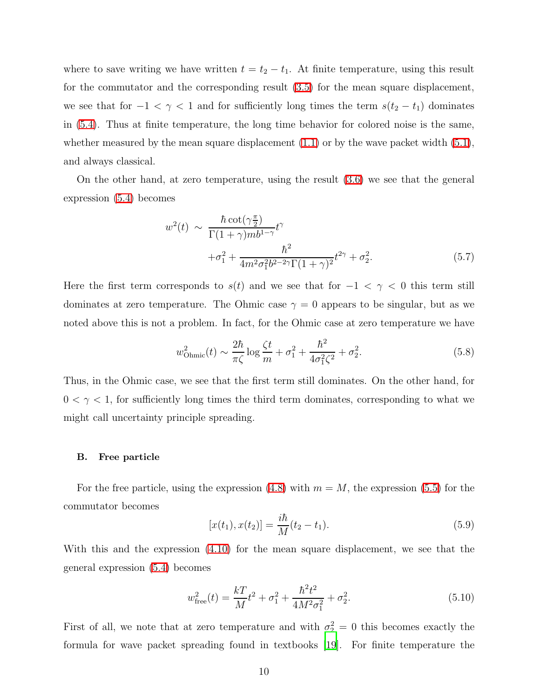where to save writing we have written  $t = t_2 - t_1$ . At finite temperature, using this result for the commutator and the corresponding result [\(3.5\)](#page-5-0) for the mean square displacement, we see that for  $-1 < \gamma < 1$  and for sufficiently long times the term  $s(t_2 - t_1)$  dominates in [\(5.4\)](#page-9-0). Thus at finite temperature, the long time behavior for colored noise is the same, whether measured by the mean square displacement  $(1.1)$  or by the wave packet width  $(5.1)$ , and always classical.

On the other hand, at zero temperature, using the result [\(3.6\)](#page-5-1) we see that the general expression [\(5.4\)](#page-9-0) becomes

$$
w^{2}(t) \sim \frac{\hbar \cot(\gamma \frac{\pi}{2})}{\Gamma(1+\gamma)mb^{1-\gamma}} t^{\gamma}
$$

$$
+\sigma_{1}^{2} + \frac{\hbar^{2}}{4m^{2}\sigma_{1}^{2}b^{2-2\gamma}\Gamma(1+\gamma)^{2}} t^{2\gamma} + \sigma_{2}^{2}.
$$
(5.7)

Here the first term corresponds to  $s(t)$  and we see that for  $-1 < \gamma < 0$  this term still dominates at zero temperature. The Ohmic case  $\gamma = 0$  appears to be singular, but as we noted above this is not a problem. In fact, for the Ohmic case at zero temperature we have

$$
w_{\text{Ohmic}}^2(t) \sim \frac{2\hbar}{\pi\zeta} \log \frac{\zeta t}{m} + \sigma_1^2 + \frac{\hbar^2}{4\sigma_1^2 \zeta^2} + \sigma_2^2. \tag{5.8}
$$

Thus, in the Ohmic case, we see that the first term still dominates. On the other hand, for  $0 < \gamma < 1$ , for sufficiently long times the third term dominates, corresponding to what we might call uncertainty principle spreading.

### B. Free particle

For the free particle, using the expression  $(4.8)$  with  $m = M$ , the expression  $(5.5)$  for the commutator becomes

$$
[x(t_1), x(t_2)] = \frac{i\hbar}{M}(t_2 - t_1).
$$
\n(5.9)

With this and the expression [\(4.10\)](#page-7-0) for the mean square displacement, we see that the general expression [\(5.4\)](#page-9-0) becomes

$$
w_{\text{free}}^2(t) = \frac{kT}{M}t^2 + \sigma_1^2 + \frac{\hbar^2 t^2}{4M^2 \sigma_1^2} + \sigma_2^2.
$$
 (5.10)

First of all, we note that at zero temperature and with  $\sigma_2^2 = 0$  this becomes exactly the formula for wave packet spreading found in textbooks [\[19](#page-13-14)]. For finite temperature the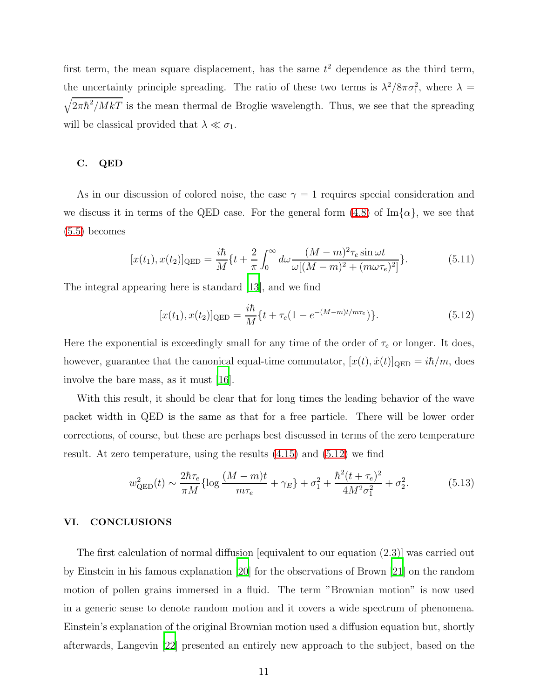first term, the mean square displacement, has the same  $t<sup>2</sup>$  dependence as the third term, the uncertainty principle spreading. The ratio of these two terms is  $\lambda^2/8\pi\sigma_1^2$ , where  $\lambda =$  $\sqrt{2\pi\hbar^2/MkT}$  is the mean thermal de Broglie wavelength. Thus, we see that the spreading will be classical provided that  $\lambda \ll \sigma_1$ .

### C. QED

As in our discussion of colored noise, the case  $\gamma = 1$  requires special consideration and we discuss it in terms of the QED case. For the general form  $(4.8)$  of Im $\{\alpha\}$ , we see that [\(5.5\)](#page-9-1) becomes

$$
[x(t_1), x(t_2)]_{\text{QED}} = \frac{i\hbar}{M} \{t + \frac{2}{\pi} \int_0^\infty d\omega \frac{(M-m)^2 \tau_e \sin \omega t}{\omega [(M-m)^2 + (m\omega \tau_e)^2]} \}.
$$
(5.11)

<span id="page-11-0"></span>The integral appearing here is standard [\[13\]](#page-13-8), and we find

$$
[x(t_1), x(t_2)]_{\text{QED}} = \frac{i\hbar}{M} \{t + \tau_e (1 - e^{-(M-m)t/m\tau_e})\}.
$$
\n(5.12)

Here the exponential is exceedingly small for any time of the order of  $\tau_e$  or longer. It does, however, guarantee that the canonical equal-time commutator,  $[x(t), \dot{x}(t)]_{\text{QED}} = i\hbar/m$ , does involve the bare mass, as it must [\[16\]](#page-13-11).

With this result, it should be clear that for long times the leading behavior of the wave packet width in QED is the same as that for a free particle. There will be lower order corrections, of course, but these are perhaps best discussed in terms of the zero temperature result. At zero temperature, using the results [\(4.15\)](#page-8-2) and [\(5.12\)](#page-11-0) we find

$$
w_{\text{QED}}^2(t) \sim \frac{2\hbar\tau_e}{\pi M} \{ \log \frac{(M-m)t}{m\tau_e} + \gamma_E \} + \sigma_1^2 + \frac{\hbar^2 (t + \tau_e)^2}{4M^2 \sigma_1^2} + \sigma_2^2. \tag{5.13}
$$

### VI. CONCLUSIONS

The first calculation of normal diffusion [equivalent to our equation (2.3)] was carried out by Einstein in his famous explanation [\[20\]](#page-13-15) for the observations of Brown [\[21\]](#page-13-16) on the random motion of pollen grains immersed in a fluid. The term "Brownian motion" is now used in a generic sense to denote random motion and it covers a wide spectrum of phenomena. Einstein's explanation of the original Brownian motion used a diffusion equation but, shortly afterwards, Langevin [\[22\]](#page-13-17) presented an entirely new approach to the subject, based on the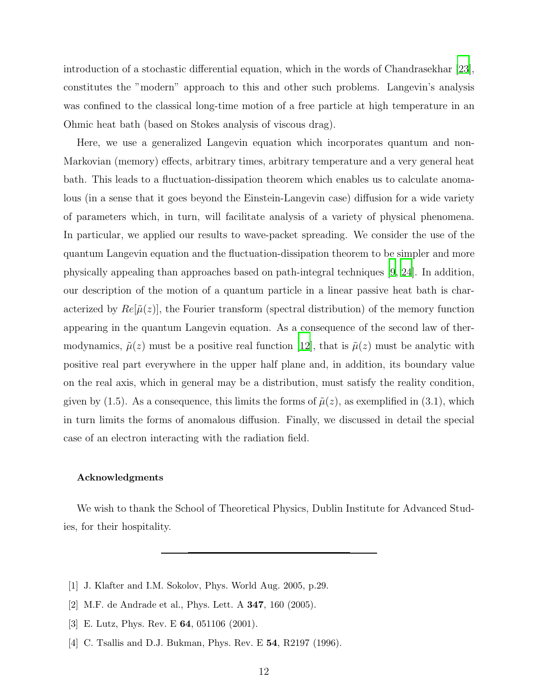introduction of a stochastic differential equation, which in the words of Chandrasekhar [\[23\]](#page-13-18), constitutes the "modern" approach to this and other such problems. Langevin's analysis was confined to the classical long-time motion of a free particle at high temperature in an Ohmic heat bath (based on Stokes analysis of viscous drag).

Here, we use a generalized Langevin equation which incorporates quantum and non-Markovian (memory) effects, arbitrary times, arbitrary temperature and a very general heat bath. This leads to a fluctuation-dissipation theorem which enables us to calculate anomalous (in a sense that it goes beyond the Einstein-Langevin case) diffusion for a wide variety of parameters which, in turn, will facilitate analysis of a variety of physical phenomena. In particular, we applied our results to wave-packet spreading. We consider the use of the quantum Langevin equation and the fluctuation-dissipation theorem to be simpler and more physically appealing than approaches based on path-integral techniques [\[9,](#page-13-4) [24](#page-13-19)]. In addition, our description of the motion of a quantum particle in a linear passive heat bath is characterized by  $Re[\tilde{\mu}(z)]$ , the Fourier transform (spectral distribution) of the memory function appearing in the quantum Langevin equation. As a consequence of the second law of thermodynamics,  $\tilde{\mu}(z)$  must be a positive real function [\[12\]](#page-13-7), that is  $\tilde{\mu}(z)$  must be analytic with positive real part everywhere in the upper half plane and, in addition, its boundary value on the real axis, which in general may be a distribution, must satisfy the reality condition, given by (1.5). As a consequence, this limits the forms of  $\tilde{\mu}(z)$ , as exemplified in (3.1), which in turn limits the forms of anomalous diffusion. Finally, we discussed in detail the special case of an electron interacting with the radiation field.

### Acknowledgments

We wish to thank the School of Theoretical Physics, Dublin Institute for Advanced Studies, for their hospitality.

- <span id="page-12-0"></span>[1] J. Klafter and I.M. Sokolov, Phys. World Aug. 2005, p.29.
- <span id="page-12-1"></span>[2] M.F. de Andrade et al., Phys. Lett. A 347, 160 (2005).
- <span id="page-12-2"></span>[3] E. Lutz, Phys. Rev. E 64, 051106 (2001).
- <span id="page-12-3"></span>[4] C. Tsallis and D.J. Bukman, Phys. Rev. E **54**, R2197 (1996).